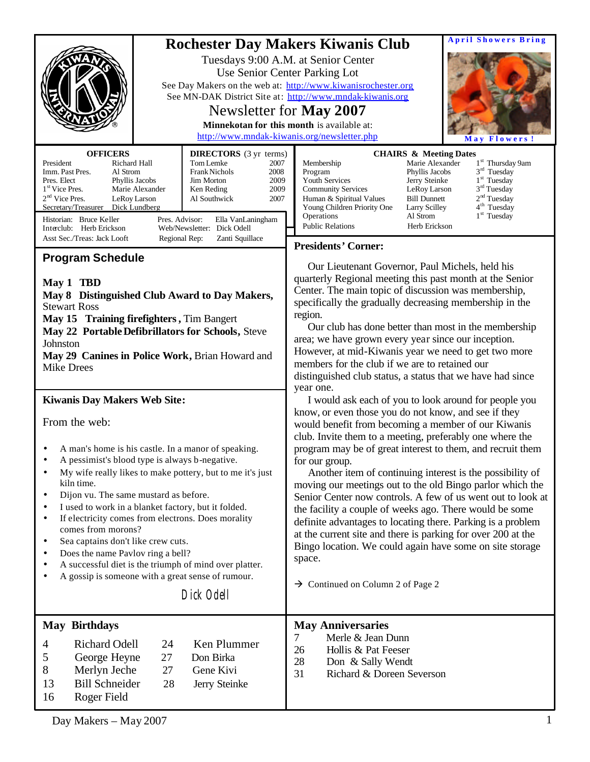| <b>Rochester Day Makers Kiwanis Club</b><br>Use Senior Center Parking Lot<br>See Day Makers on the web at: http://www.kiwanisrochester.org<br>Newsletter for May 2007<br>Minnekotan for this month is available at:<br>http://www.mndak-kiwanis.org/newsletter.php                                                                                                                                                                                                                                                                                                                                                           |                                                                                            | <b>April Showers Bring</b><br>Tuesdays 9:00 A.M. at Senior Center<br>See MN-DAK District Site at: http://www.mndak-kiwanis.org<br><b>Flowers</b><br>M a v                                                                                                                                                                                                                                                                                                                                                                                                                                                                                                                                                                                                         |  |  |
|------------------------------------------------------------------------------------------------------------------------------------------------------------------------------------------------------------------------------------------------------------------------------------------------------------------------------------------------------------------------------------------------------------------------------------------------------------------------------------------------------------------------------------------------------------------------------------------------------------------------------|--------------------------------------------------------------------------------------------|-------------------------------------------------------------------------------------------------------------------------------------------------------------------------------------------------------------------------------------------------------------------------------------------------------------------------------------------------------------------------------------------------------------------------------------------------------------------------------------------------------------------------------------------------------------------------------------------------------------------------------------------------------------------------------------------------------------------------------------------------------------------|--|--|
| <b>OFFICERS</b><br>Tom Lemke<br>President<br>Richard Hall<br>Imm. Past Pres.<br>Al Strom<br><b>Frank Nichols</b><br>Pres. Elect<br>Phyllis Jacobs<br><b>Jim Morton</b><br>1 <sup>st</sup> Vice Pres.<br>Marie Alexander<br>Ken Reding<br>$2nd$ Vice Pres.<br>LeRoy Larson<br>Al Southwick<br>Secretary/Treasurer<br>Dick Lundberg<br>Pres. Advisor:<br>Historian: Bruce Keller<br>Web/Newsletter: Dick Odell<br>Interclub: Herb Erickson                                                                                                                                                                                     | <b>DIRECTORS</b> (3 yr terms)<br>2007<br>2008<br>2009<br>2009<br>2007<br>Ella VanLaningham | <b>CHAIRS &amp; Meeting Dates</b><br>Marie Alexander<br>1 <sup>st</sup> Thursday 9am<br>Membership<br>$3rd$ Tuesday<br>Program<br>Phyllis Jacobs<br>1 <sup>st</sup> Tuesday<br>Youth Services<br>Jerry Steinke<br>3 <sup>rd</sup> Tuesday<br><b>Community Services</b><br>LeRoy Larson<br>2 <sup>nd</sup> Tuesday<br><b>Bill Dunnett</b><br>Human & Spiritual Values<br>4 <sup>th</sup> Tuesday<br>Young Children Priority One<br>Larry Scilley<br>$1st$ Tuesday<br>Al Strom<br>Operations<br><b>Public Relations</b><br>Herb Erickson                                                                                                                                                                                                                            |  |  |
| Asst Sec./Treas: Jack Looft<br>Regional Rep:                                                                                                                                                                                                                                                                                                                                                                                                                                                                                                                                                                                 | Zanti Squillace                                                                            | <b>Presidents' Corner:</b>                                                                                                                                                                                                                                                                                                                                                                                                                                                                                                                                                                                                                                                                                                                                        |  |  |
| <b>Program Schedule</b><br>May 1 TBD<br>May 8 Distinguished Club Award to Day Makers,<br><b>Stewart Ross</b><br>May 15 Training firefighters, Tim Bangert<br>May 22 Portable Defibrillators for Schools, Steve<br>Johnston<br>May 29 Canines in Police Work, Brian Howard and<br><b>Mike Drees</b><br><b>Kiwanis Day Makers Web Site:</b>                                                                                                                                                                                                                                                                                    |                                                                                            | Our Lieutenant Governor, Paul Michels, held his<br>quarterly Regional meeting this past month at the Senior<br>Center. The main topic of discussion was membership,<br>specifically the gradually decreasing membership in the<br>region.<br>Our club has done better than most in the membership<br>area; we have grown every year since our inception.<br>However, at mid-Kiwanis year we need to get two more<br>members for the club if we are to retained our<br>distinguished club status, a status that we have had since<br>year one.<br>I would ask each of you to look around for people you                                                                                                                                                            |  |  |
| From the web:<br>A man's home is his castle. In a manor of speaking.<br>A pessimist's blood type is always b-negative<br>My wife really likes to make pottery, but to me it's just<br>٠<br>kiln time.<br>Dijon vu. The same mustard as before.<br>٠<br>I used to work in a blanket factory, but it folded.<br>٠<br>If electricity comes from electrons. Does morality<br>٠<br>comes from morons?<br>Sea captains don't like crew cuts.<br>٠<br>Does the name Pavlov ring a bell?<br>٠<br>A successful diet is the triumph of mind over platter.<br>٠<br>A gossip is someone with a great sense of rumour.<br>٠<br>Dick Odell |                                                                                            | know, or even those you do not know, and see if they<br>would benefit from becoming a member of our Kiwanis<br>club. Invite them to a meeting, preferably one where the<br>program may be of great interest to them, and recruit them<br>for our group.<br>Another item of continuing interest is the possibility of<br>moving our meetings out to the old Bingo parlor which the<br>Senior Center now controls. A few of us went out to look at<br>the facility a couple of weeks ago. There would be some<br>definite advantages to locating there. Parking is a problem<br>at the current site and there is parking for over 200 at the<br>Bingo location. We could again have some on site storage<br>space.<br>$\rightarrow$ Continued on Column 2 of Page 2 |  |  |
| <b>May Birthdays</b><br><b>Richard Odell</b><br>24<br>4<br>George Heyne<br>Don Birka<br>27<br>5<br>8<br>Merlyn Jeche<br>27<br>Gene Kivi<br><b>Bill Schneider</b><br>13<br>28<br>Roger Field<br>16                                                                                                                                                                                                                                                                                                                                                                                                                            | Ken Plummer<br>Jerry Steinke                                                               | <b>May Anniversaries</b><br>Merle & Jean Dunn<br>7<br>Hollis & Pat Feeser<br>26<br>28<br>Don & Sally Wendt<br>31<br>Richard & Doreen Severson                                                                                                                                                                                                                                                                                                                                                                                                                                                                                                                                                                                                                     |  |  |